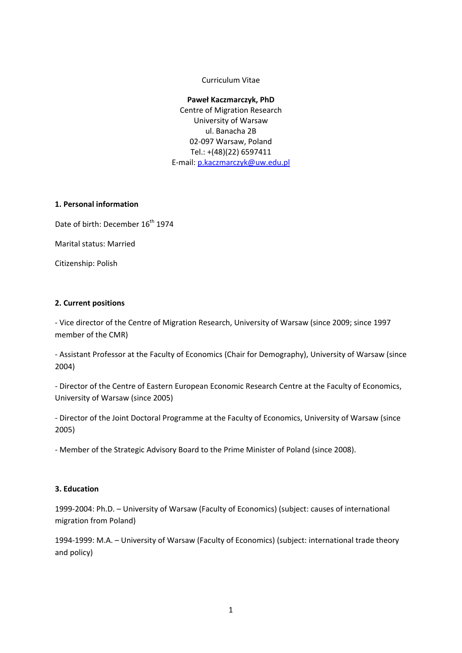Curriculum Vitae

#### **Paweł Kaczmarczyk, PhD**

Centre of Migration Research University of Warsaw ul. Banacha 2B 02‐097 Warsaw, Poland Tel.: +(48)(22) 6597411 E‐mail: [p.kaczmarczyk@uw.edu.pl](mailto:p.kaczmarczyk@uw.edu.pl)

#### **1. Personal information**

Date of birth: December 16<sup>th</sup> 1974

Marital status: Married

Citizenship: Polish

## **2. Current positions**

‐ Vice director of the Centre of Migration Research, University of Warsaw (since 2009; since 1997 member of the CMR)

‐ Assistant Professor at the Faculty of Economics (Chair for Demography), University of Warsaw (since 2004)

‐ Director of the Centre of Eastern European Economic Research Centre at the Faculty of Economics, University of Warsaw (since 2005)

‐ Director of the Joint Doctoral Programme at the Faculty of Economics, University of Warsaw (since 2005)

‐ Member of the Strategic Advisory Board to the Prime Minister of Poland (since 2008).

#### **3. Education**

1999-2004: Ph.D. – University of Warsaw (Faculty of Economics) (subject: causes of international migration from Poland)

1994‐1999: M.A. – University of Warsaw (Faculty of Economics) (subject: international trade theory and policy)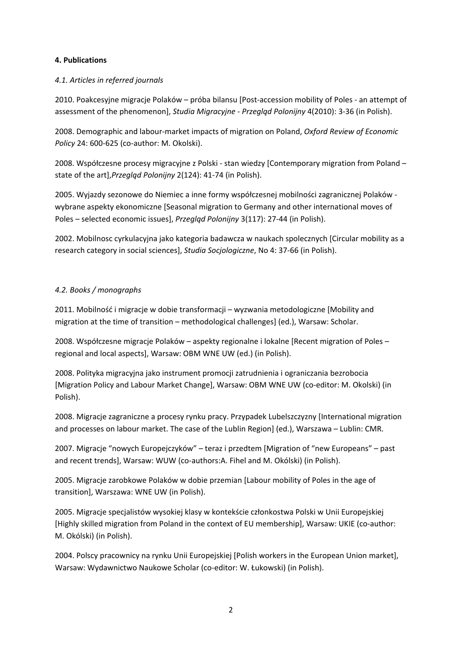#### **4. Publications**

#### *4.1. Articles in referred journals*

2010. Poakcesyjne migracje Polaków – próba bilansu [Post‐accession mobility of Poles ‐ an attempt of assessment of the phenomenon], *Studia Migracyjne ‐ Przegląd Polonijny* 4(2010): 3‐36 (in Polish).

2008. Demographic and labour‐market impacts of migration on Poland, *Oxford Review of Economic Policy* 24: 600‐625 (co‐author: M. Okolski).

2008. Współczesne procesy migracyjne z Polski ‐ stan wiedzy [Contemporary migration from Poland – state of the art],*Przegląd Polonijny* 2(124): 41‐74 (in Polish).

2005. Wyjazdy sezonowe do Niemiec a inne formy współczesnej mobilności zagranicznej Polaków ‐ wybrane aspekty ekonomiczne [Seasonal migration to Germany and other international moves of Poles – selected economic issues], *Przegląd Polonijny* 3(117): 27‐44 (in Polish).

2002. Mobilnosc cyrkulacyjna jako kategoria badawcza w naukach spolecznych [Circular mobility as a research category in social sciences], *Studia Socjologiczne*, No 4: 37‐66 (in Polish).

# *4.2. Books / monographs*

2011. Mobilność i migracje w dobie transformacji – wyzwania metodologiczne [Mobility and migration at the time of transition – methodological challenges] (ed.), Warsaw: Scholar.

2008. Współczesne migracje Polaków – aspekty regionalne i lokalne [Recent migration of Poles – regional and local aspects], Warsaw: OBM WNE UW (ed.) (in Polish).

2008. Polityka migracyjna jako instrument promocji zatrudnienia i ograniczania bezrobocia [Migration Policy and Labour Market Change], Warsaw: OBM WNE UW (co-editor: M. Okolski) (in Polish).

2008. Migracje zagraniczne a procesy rynku pracy. Przypadek Lubelszczyzny [International migration and processes on labour market. The case of the Lublin Region] (ed.), Warszawa – Lublin: CMR.

2007. Migracje "nowych Europejczyków" – teraz i przedtem [Migration of "new Europeans" – past and recent trends], Warsaw: WUW (co-authors:A. Fihel and M. Okólski) (in Polish).

2005. Migracje zarobkowe Polaków w dobie przemian [Labour mobility of Poles in the age of transition], Warszawa: WNE UW (in Polish).

2005. Migracje specjalistów wysokiej klasy w kontekście członkostwa Polski w Unii Europejskiej [Highly skilled migration from Poland in the context of EU membership], Warsaw: UKIE (co‐author: M. Okólski) (in Polish).

2004. Polscy pracownicy na rynku Unii Europejskiej [Polish workers in the European Union market], Warsaw: Wydawnictwo Naukowe Scholar (co-editor: W. Łukowski) (in Polish).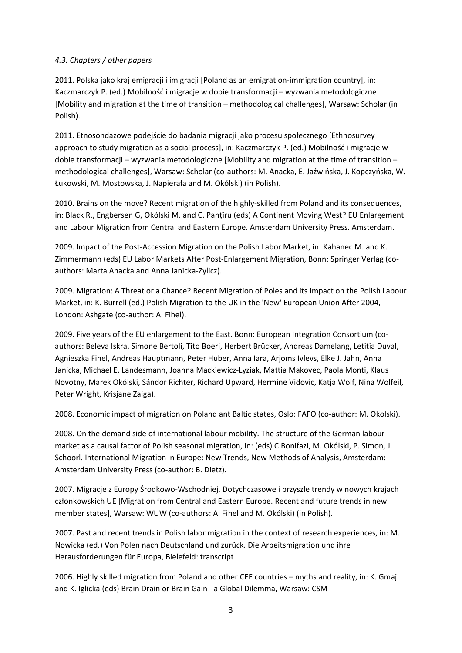## *4.3. Chapters / other papers*

2011. Polska jako kraj emigracji i imigracji [Poland as an emigration‐immigration country], in: Kaczmarczyk P. (ed.) Mobilność i migracje w dobie transformacji – wyzwania metodologiczne [Mobility and migration at the time of transition – methodological challenges], Warsaw: Scholar (in Polish).

2011. Etnosondażowe podejście do badania migracji jako procesu społecznego [Ethnosurvey approach to study migration as a social process], in: Kaczmarczyk P. (ed.) Mobilność i migracje w dobie transformacji – wyzwania metodologiczne [Mobility and migration at the time of transition – methodological challenges], Warsaw: Scholar (co‐authors: M. Anacka, E. Jaźwińska, J. Kopczyńska, W. Łukowski, M. Mostowska, J. Napierała and M. Okólski) (in Polish).

2010. Brains on the move? Recent migration of the highly‐skilled from Poland and its consequences, in: Black R., Engbersen G, Okólski M. and C. Panțĭru (eds) A Continent Moving West? EU Enlargement and Labour Migration from Central and Eastern Europe. Amsterdam University Press. Amsterdam.

2009. Impact of the Post‐Accession Migration on the Polish Labor Market, in: Kahanec M. and K. Zimmermann (eds) EU Labor Markets After Post‐Enlargement Migration, Bonn: Springer Verlag (co‐ authors: Marta Anacka and Anna Janicka‐Zylicz).

2009. Migration: A Threat or a Chance? Recent Migration of Poles and its Impact on the Polish Labour Market, in: K. Burrell (ed.) Polish Migration to the UK in the 'New' European Union After 2004, London: Ashgate (co-author: A. Fihel).

2009. Five years of the EU [enlargement](http://www.migracje.uw.edu.pl/publ/732/) to the East. Bonn: European Integration Consortium (co‐ authors: Beleva Iskra, Simone Bertoli, Tito Boeri, Herbert Brücker, Andreas Damelang, Letitia Duval, Agnieszka Fihel, Andreas Hauptmann, Peter Huber, Anna Iara, Arjoms Ivlevs, Elke J. Jahn, Anna Janicka, Michael E. Landesmann, Joanna Mackiewicz‐Lyziak, Mattia Makovec, Paola Monti, Klaus Novotny, Marek Okólski, Sándor Richter, Richard Upward, Hermine Vidovic, Katja Wolf, Nina Wolfeil, Peter Wright, Krisjane Zaiga).

2008. Economic impact of migration on Poland ant Baltic states, Oslo: FAFO (co-author: M. Okolski).

2008. On the demand side of international labour mobility. The structure of the German labour market as a causal factor of Polish seasonal migration, in: (eds) C.Bonifazi, M. Okólski, P. Simon, J. Schoorl. International Migration in Europe: New Trends, New Methods of Analysis, Amsterdam: Amsterdam University Press (co‐author: B. Dietz).

2007. Migracje z Europy Środkowo‐Wschodniej. Dotychczasowe i przyszłe trendy w nowych krajach członkowskich UE [Migration from Central and Eastern Europe. Recent and future trends in new member states], Warsaw: WUW (co-authors: A. Fihel and M. Okólski) (in Polish).

2007. Past and recent trends in Polish labor migration in the context of research experiences, in: M. Nowicka (ed.) Von Polen nach Deutschland und zurück. Die Arbeitsmigration und ihre Herausforderungen für Europa, Bielefeld: transcript

2006. Highly skilled migration from Poland and other CEE countries – myths and reality, in: K. Gmaj and K. Iglicka (eds) Brain Drain or Brain Gain ‐ a Global Dilemma, Warsaw: CSM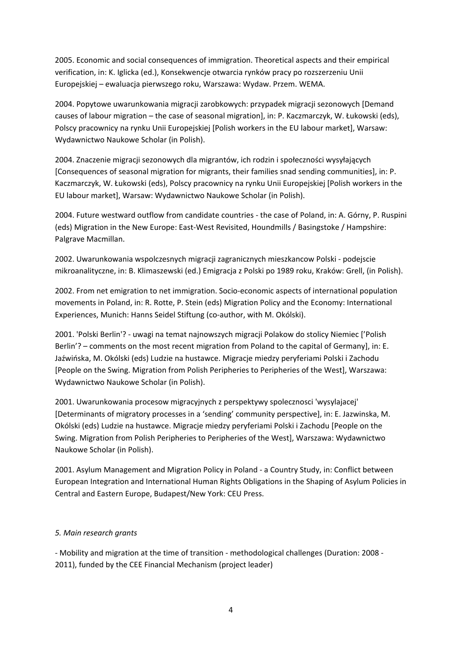2005. Economic and social consequences of immigration. Theoretical aspects and their empirical verification, in: K. Iglicka (ed.), Konsekwencje otwarcia rynków pracy po rozszerzeniu Unii Europejskiej – ewaluacja pierwszego roku, Warszawa: Wydaw. Przem. WEMA.

2004. Popytowe uwarunkowania migracji zarobkowych: przypadek migracji sezonowych [Demand causes of labour migration – the case of seasonal migration], in: P. Kaczmarczyk, W. Łukowski (eds), Polscy pracownicy na rynku Unii Europejskiej [Polish workers in the EU labour market], Warsaw: Wydawnictwo Naukowe Scholar (in Polish).

2004. Znaczenie migracji sezonowych dla migrantów, ich rodzin i społeczności wysyłających [Consequences of seasonal migration for migrants, their families snad sending communities], in: P. Kaczmarczyk, W. Łukowski (eds), Polscy pracownicy na rynku Unii Europejskiej [Polish workers in the EU labour market], Warsaw: Wydawnictwo Naukowe Scholar (in Polish).

2004. Future westward outflow from candidate countries ‐ the case of Poland, in: A. Górny, P. Ruspini (eds) Migration in the New Europe: East‐West Revisited, Houndmills / Basingstoke / Hampshire: Palgrave Macmillan.

2002. Uwarunkowania wspolczesnych migracji zagranicznych mieszkancow Polski ‐ podejscie mikroanalityczne, in: B. Klimaszewski (ed.) Emigracja z Polski po 1989 roku, Kraków: Grell, (in Polish).

2002. From net emigration to net immigration. Socio‐economic aspects of international population movements in Poland, in: R. Rotte, P. Stein (eds) Migration Policy and the Economy: International Experiences, Munich: Hanns Seidel Stiftung (co-author, with M. Okólski).

2001. 'Polski Berlin'? ‐ uwagi na temat najnowszych migracji Polakow do stolicy Niemiec ['Polish Berlin'? – comments on the most recent migration from Poland to the capital of Germany], in: E. Jaźwińska, M. Okólski (eds) Ludzie na hustawce. Migracje miedzy peryferiami Polski i Zachodu [People on the Swing. Migration from Polish Peripheries to Peripheries of the West], Warszawa: Wydawnictwo Naukowe Scholar (in Polish).

2001. Uwarunkowania procesow migracyjnych z perspektywy spolecznosci 'wysylajacej' [Determinants of migratory processes in a 'sending' community perspective], in: E. Jazwinska, M. Okólski (eds) Ludzie na hustawce. Migracje miedzy peryferiami Polski i Zachodu [People on the Swing. Migration from Polish Peripheries to Peripheries of the West], Warszawa: Wydawnictwo Naukowe Scholar (in Polish).

2001. Asylum Management and Migration Policy in Poland ‐ a Country Study, in: Conflict between European Integration and International Human Rights Obligations in the Shaping of Asylum Policies in Central and Eastern Europe, Budapest/New York: CEU Press.

# *5. Main research grants*

‐ Mobility and migration at the time of transition ‐ methodological challenges (Duration: 2008 ‐ 2011), funded by the CEE Financial Mechanism (project leader)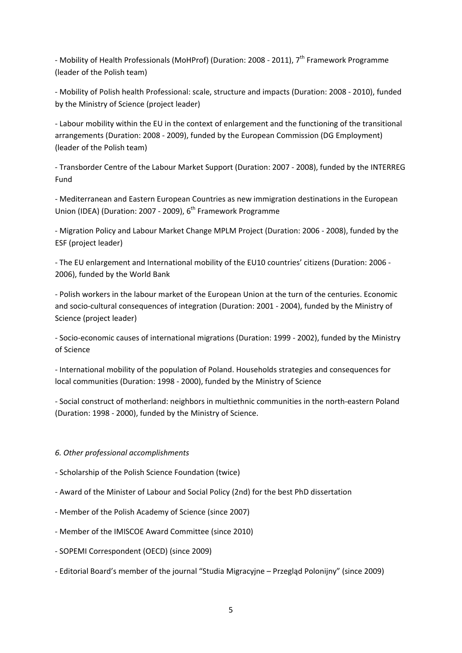- Mobility of Health Professionals (MoHProf) (Duration: 2008 - 2011), 7<sup>th</sup> Framework Programme (leader of the Polish team)

‐ Mobility of Polish health Professional: scale, structure and impacts (Duration: 2008 ‐ 2010), funded by the Ministry of Science (project leader)

‐ Labour mobility within the EU in the context of enlargement and the functioning of the transitional arrangements (Duration: 2008 ‐ 2009), funded by the European Commission (DG Employment) (leader of the Polish team)

‐ Transborder Centre of the Labour Market Support (Duration: 2007 ‐ 2008), funded by the INTERREG Fund

‐ Mediterranean and Eastern European Countries as new immigration destinations in the European Union (IDEA) (Duration: 2007 - 2009),  $6<sup>th</sup>$  Framework Programme

‐ Migration Policy and Labour Market Change MPLM Project (Duration: 2006 ‐ 2008), funded by the ESF (project leader)

‐ The EU enlargement and International mobility of the EU10 countries' citizens (Duration: 2006 ‐ 2006), funded by the World Bank

‐ Polish workers in the labour market of the European Union at the turn of the centuries. Economic and socio-cultural consequences of integration (Duration: 2001 - 2004), funded by the Ministry of Science (project leader)

‐ Socio‐economic causes of international migrations (Duration: 1999 ‐ 2002), funded by the Ministry of Science

‐ International mobility of the population of Poland. Households strategies and consequences for local communities (Duration: 1998 ‐ 2000), funded by the Ministry of Science

‐ Social construct of motherland: neighbors in multiethnic communities in the north‐eastern Poland (Duration: 1998 ‐ 2000), funded by the Ministry of Science.

# *6. Other professional accomplishments*

- ‐ Scholarship of the Polish Science Foundation (twice)
- ‐ Award of the Minister of Labour and Social Policy (2nd) for the best PhD dissertation
- ‐ Member of the Polish Academy of Science (since 2007)
- ‐ Member of the IMISCOE Award Committee (since 2010)
- ‐ SOPEMI Correspondent (OECD) (since 2009)
- ‐ Editorial Board's member of the journal "Studia Migracyjne Przegląd Polonijny" (since 2009)